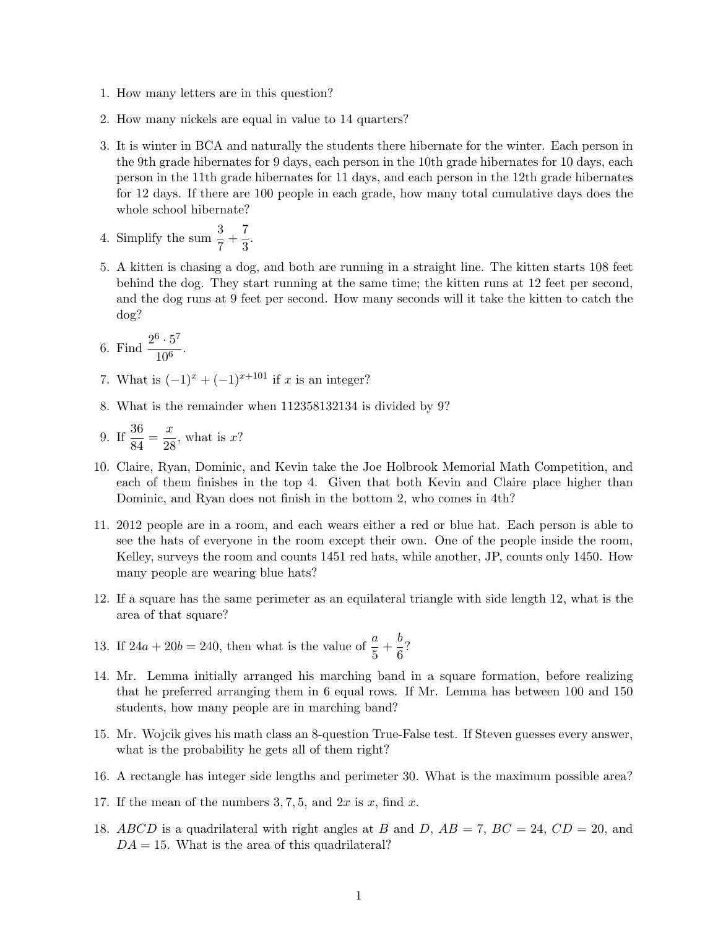- 1. How many letters are in this question?
- 2. How many nickels are equal in value to 14 quarters?
- 3. It is winter in BCA and naturally the students there hibernate for the winter. Each person in the 9th grade hibernates for 9 days, each person in the 10th grade hibernates for 10 days, each person in the 11th grade hibernates for 11 days, and each person in the 12th grade hibernates for 12 days. If there are 100 people in each grade, how many total cumulative days does the whole school hibernate?
- 4. Simplify the sum  $\frac{3}{7} + \frac{7}{3}$  $\frac{1}{3}$ .
- 5. A kitten is chasing a dog, and both are running in a straight line. The kitten starts 108 feet behind the dog. They start running at the same time; the kitten runs at 12 feet per second, and the dog runs at 9 feet per second. How many seconds will it take the kitten to catch the dog?
- 6. Find  $\frac{2^6 \cdot 5^7}{10^6}$  $\frac{6}{10^6}$ .
- 7. What is  $(-1)^{x} + (-1)^{x+101}$  if x is an integer?
- 8. What is the remainder when 112358132134 is divided by 9?

9. If 
$$
\frac{36}{84} = \frac{x}{28}
$$
, what is x?

- 10. Claire, Ryan, Dominic, and Kevin take the Joe Holbrook Memorial Math Competition, and each of them finishes in the top 4. Given that both Kevin and Claire place higher than Dominic, and Ryan does not finish in the bottom 2, who comes in 4th?
- 11. 2012 people are in a room, and each wears either a red or blue hat. Each person is able to see the hats of everyone in the room except their own. One of the people inside the room, Kelley, surveys the room and counts 1451 red hats, while another, JP, counts only 1450. How many people are wearing blue hats?
- 12. If a square has the same perimeter as an equilateral triangle with side length 12, what is the area of that square?
- 13. If  $24a + 20b = 240$ , then what is the value of  $\frac{a}{5} + \frac{b}{6}$  $\frac{5}{6}$ ?
- 14. Mr. Lemma initially arranged his marching band in a square formation, before realizing that he preferred arranging them in 6 equal rows. If Mr. Lemma has between 100 and 150 students, how many people are in marching band?
- 15. Mr. Wojcik gives his math class an 8-question True-False test. If Steven guesses every answer, what is the probability he gets all of them right?
- 16. A rectangle has integer side lengths and perimeter 30. What is the maximum possible area?
- 17. If the mean of the numbers  $3, 7, 5$ , and  $2x$  is x, find x.
- 18. ABCD is a quadrilateral with right angles at B and D,  $AB = 7$ ,  $BC = 24$ ,  $CD = 20$ , and  $DA = 15$ . What is the area of this quadrilateral?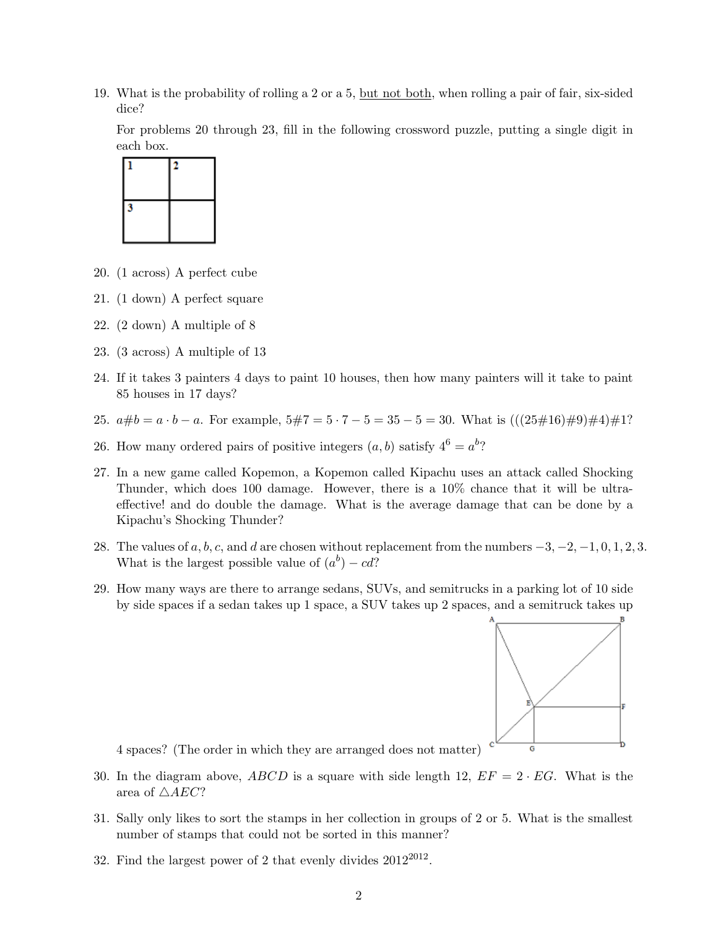19. What is the probability of rolling a 2 or a 5, but not both, when rolling a pair of fair, six-sided dice?

For problems 20 through 23, fill in the following crossword puzzle, putting a single digit in each box.



- 20. (1 across) A perfect cube
- 21. (1 down) A perfect square
- 22. (2 down) A multiple of 8
- 23. (3 across) A multiple of 13
- 24. If it takes 3 painters 4 days to paint 10 houses, then how many painters will it take to paint 85 houses in 17 days?
- 25.  $a\#b = a \cdot b a$ . For example,  $5\#7 = 5 \cdot 7 5 = 35 5 = 30$ . What is  $(((25\#16)\#9)\#4)\#1$ ?
- 26. How many ordered pairs of positive integers  $(a, b)$  satisfy  $4^6 = a^b$ ?
- 27. In a new game called Kopemon, a Kopemon called Kipachu uses an attack called Shocking Thunder, which does 100 damage. However, there is a 10% chance that it will be ultraeffective! and do double the damage. What is the average damage that can be done by a Kipachu's Shocking Thunder?
- 28. The values of  $a, b, c$ , and d are chosen without replacement from the numbers  $-3, -2, -1, 0, 1, 2, 3$ . What is the largest possible value of  $(a^b) - cd$ ?
- 29. How many ways are there to arrange sedans, SUVs, and semitrucks in a parking lot of 10 side by side spaces if a sedan takes up 1 space, a SUV takes up 2 spaces, and a semitruck takes up



4 spaces? (The order in which they are arranged does not matter)

- 30. In the diagram above, ABCD is a square with side length 12,  $EF = 2 \cdot EG$ . What is the area of  $\triangle$ *AEC*?
- 31. Sally only likes to sort the stamps in her collection in groups of 2 or 5. What is the smallest number of stamps that could not be sorted in this manner?
- 32. Find the largest power of 2 that evenly divides  $2012^{2012}$ .